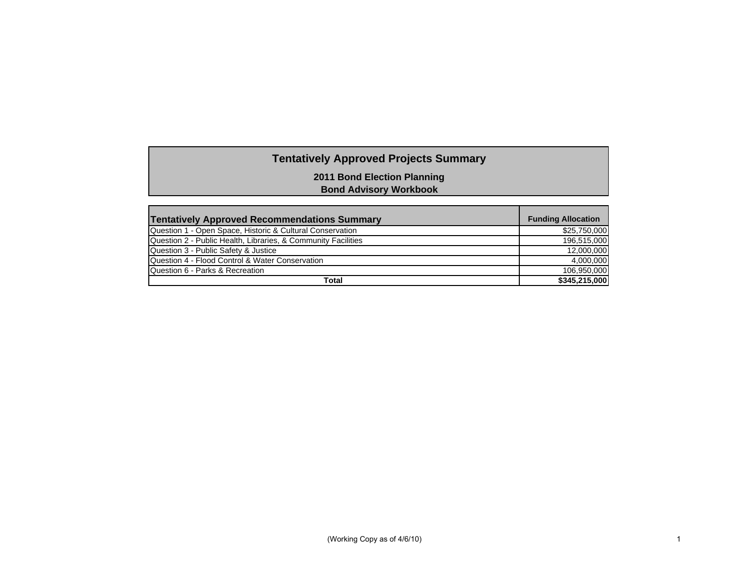# **Tentatively Approved Projects Summary**

**2011 Bond Election Planning**

**Bond Advisory Workbook**

| <b>Tentatively Approved Recommendations Summary</b>           | <b>Funding Allocation</b> |
|---------------------------------------------------------------|---------------------------|
| Question 1 - Open Space, Historic & Cultural Conservation     | \$25,750,000              |
| Question 2 - Public Health, Libraries, & Community Facilities | 196,515,000               |
| Question 3 - Public Safety & Justice                          | 12,000,000                |
| Question 4 - Flood Control & Water Conservation               | 4,000,000                 |
| Question 6 - Parks & Recreation                               | 106,950,000               |
| Total                                                         | \$345,215,000             |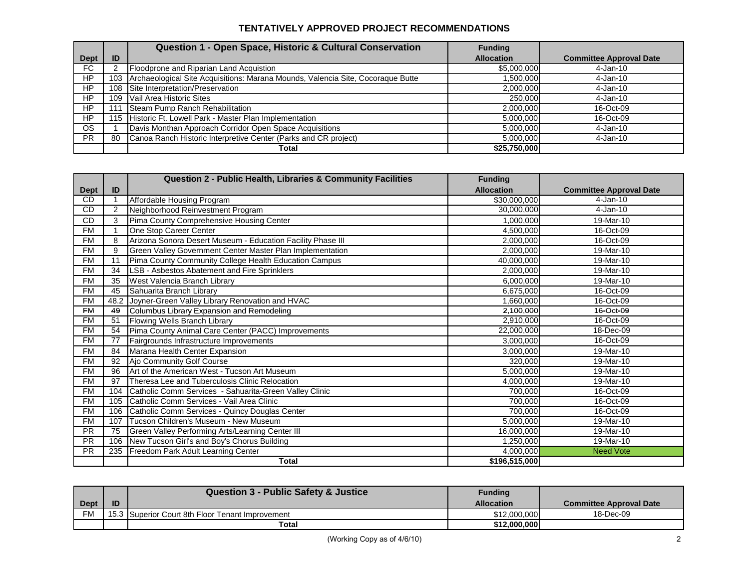### **TENTATIVELY APPROVED PROJECT RECOMMENDATIONS**

|                |     | Question 1 - Open Space, Historic & Cultural Conservation                       | <b>Funding</b>    |                                |
|----------------|-----|---------------------------------------------------------------------------------|-------------------|--------------------------------|
| <b>Dept</b>    | ID  |                                                                                 | <b>Allocation</b> | <b>Committee Approval Date</b> |
| FC.            |     | Floodprone and Riparian Land Acquistion                                         | \$5,000,000       | 4-Jan-10                       |
| HP             | 103 | Archaeological Site Acquisitions: Marana Mounds, Valencia Site, Cocoraque Butte | 1,500,000         | $4-Jan-10$                     |
| HP             | 108 | Site Interpretation/Preservation                                                | 2,000,000         | $4-Jan-10$                     |
| H <sub>P</sub> | 109 | Vail Area Historic Sites                                                        | 250,000           | 4-Jan-10                       |
| HP.            | 111 | Steam Pump Ranch Rehabilitation                                                 | 2,000,000         | 16-Oct-09                      |
| HP             | 115 | Historic Ft. Lowell Park - Master Plan Implementation                           | 5,000,000         | 16-Oct-09                      |
| OS.            |     | Davis Monthan Approach Corridor Open Space Acquisitions                         | 5,000,000         | 4-Jan-10                       |
| <b>PR</b>      | 80  | Canoa Ranch Historic Interpretive Center (Parks and CR project)                 | 5,000,000         | 4-Jan-10                       |
|                |     | Total                                                                           | \$25,750,000      |                                |

|             |      | <b>Question 2 - Public Health, Libraries &amp; Community Facilities</b> | <b>Funding</b>    |                                |
|-------------|------|-------------------------------------------------------------------------|-------------------|--------------------------------|
| <b>Dept</b> | ID   |                                                                         | <b>Allocation</b> | <b>Committee Approval Date</b> |
| <b>CD</b>   |      | Affordable Housing Program                                              | \$30,000,000      | $4-Jan-10$                     |
| CD          | 2    | Neighborhood Reinvestment Program                                       | 30,000,000        | $4-Jan-10$                     |
| <b>CD</b>   | 3    | Pima County Comprehensive Housing Center                                | 1,000,000         | 19-Mar-10                      |
| <b>FM</b>   |      | One Stop Career Center                                                  | 4,500,000         | 16-Oct-09                      |
| <b>FM</b>   | 8    | Arizona Sonora Desert Museum - Education Facility Phase III             | 2,000,000         | 16-Oct-09                      |
| <b>FM</b>   | 9    | Green Valley Government Center Master Plan Implementation               | 2,000,000         | 19-Mar-10                      |
| <b>FM</b>   | 11   | Pima County Community College Health Education Campus                   | 40,000,000        | 19-Mar-10                      |
| <b>FM</b>   | 34   | LSB - Asbestos Abatement and Fire Sprinklers                            | 2,000,000         | 19-Mar-10                      |
| <b>FM</b>   | 35   | West Valencia Branch Library                                            | 6,000,000         | 19-Mar-10                      |
| <b>FM</b>   | 45   | Sahuarita Branch Library                                                | 6,675,000         | 16-Oct-09                      |
| <b>FM</b>   | 48.2 | Joyner-Green Valley Library Renovation and HVAC                         | 1,660,000         | 16-Oct-09                      |
| <b>FM</b>   | 49   | Columbus Library Expansion and Remodeling                               | 2.100.000         | 16-Oct-09                      |
| <b>FM</b>   | 51   | Flowing Wells Branch Library                                            | 2,910,000         | 16-Oct-09                      |
| <b>FM</b>   | 54   | Pima County Animal Care Center (PACC) Improvements                      | 22,000,000        | 18-Dec-09                      |
| <b>FM</b>   | 77   | Fairgrounds Infrastructure Improvements                                 | 3,000,000         | 16-Oct-09                      |
| <b>FM</b>   | 84   | Marana Health Center Expansion                                          | 3,000,000         | 19-Mar-10                      |
| <b>FM</b>   | 92   | Ajo Community Golf Course                                               | 320,000           | 19-Mar-10                      |
| <b>FM</b>   | 96   | Art of the American West - Tucson Art Museum                            | 5.000.000         | 19-Mar-10                      |
| <b>FM</b>   | 97   | Theresa Lee and Tuberculosis Clinic Relocation                          | 4,000,000         | 19-Mar-10                      |
| <b>FM</b>   | 104  | Catholic Comm Services - Sahuarita-Green Valley Clinic                  | 700,000           | 16-Oct-09                      |
| <b>FM</b>   | 105  | Catholic Comm Services - Vail Area Clinic                               | 700.000           | 16-Oct-09                      |
| <b>FM</b>   | 106  | Catholic Comm Services - Quincy Douglas Center                          | 700,000           | 16-Oct-09                      |
| <b>FM</b>   | 107  | Tucson Children's Museum - New Museum                                   | 5,000,000         | 19-Mar-10                      |
| <b>PR</b>   | 75   | Green Valley Performing Arts/Learning Center III                        | 16,000,000        | 19-Mar-10                      |
| <b>PR</b>   | 106  | New Tucson Girl's and Boy's Chorus Building                             | 1,250,000         | 19-Mar-10                      |
| <b>PR</b>   | 235  | Freedom Park Adult Learning Center                                      | 4,000,000         | <b>Need Vote</b>               |
|             |      | <b>Total</b>                                                            | \$196,515,000     |                                |

|             |    | <b>Question 3 - Public Safety &amp; Justice</b>  | <b>Funding</b>    |                         |
|-------------|----|--------------------------------------------------|-------------------|-------------------------|
| <b>Dept</b> | םו |                                                  | <b>Allocation</b> | Committee Approval Date |
| <b>FM</b>   |    | 15.3 Superior Court 8th Floor Tenant Improvement | \$12,000,000      | 18-Dec-09               |
|             |    | Total                                            | \$12,000,000      |                         |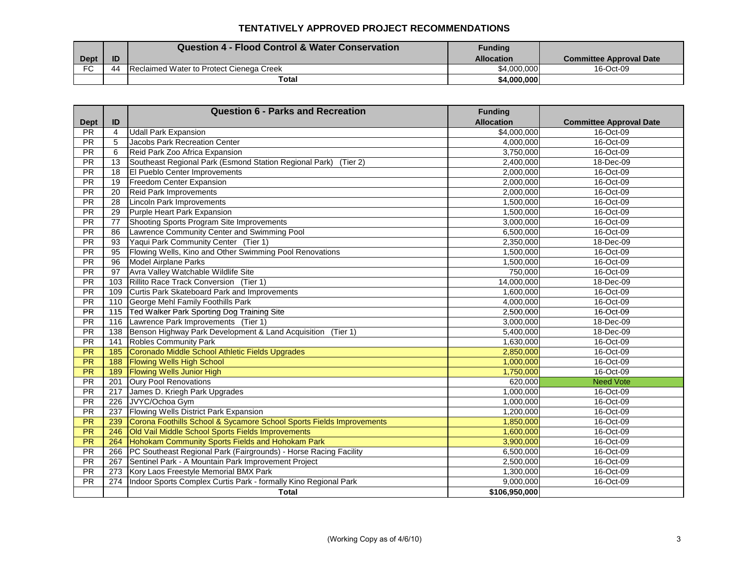### **TENTATIVELY APPROVED PROJECT RECOMMENDATIONS**

|             |    | <b>Question 4 - Flood Control &amp; Water Conservation</b> | <b>Funding</b>    |                                |
|-------------|----|------------------------------------------------------------|-------------------|--------------------------------|
| <b>Dept</b> | ID |                                                            | <b>Allocation</b> | <b>Committee Approval Date</b> |
| <b>FC</b>   | 44 | Reclaimed Water to Protect Cienega Creek                   | \$4,000,000       | 16-Oct-09                      |
|             |    | Total                                                      | \$4,000,000       |                                |

|                          |                | <b>Question 6 - Parks and Recreation</b>                             | <b>Funding</b>    |                                |
|--------------------------|----------------|----------------------------------------------------------------------|-------------------|--------------------------------|
| <b>Dept</b>              | ID             |                                                                      | <b>Allocation</b> | <b>Committee Approval Date</b> |
| <b>PR</b>                | $\overline{4}$ | <b>Udall Park Expansion</b>                                          | \$4,000,000       | 16-Oct-09                      |
| PR.                      | 5              | <b>Jacobs Park Recreation Center</b>                                 | 4.000.000         | 16-Oct-09                      |
| <b>PR</b>                | 6              | Reid Park Zoo Africa Expansion                                       | 3,750,000         | 16-Oct-09                      |
| <b>PR</b>                | 13             | Southeast Regional Park (Esmond Station Regional Park) (Tier 2)      | 2,400,000         | 18-Dec-09                      |
| $\overline{\mathsf{PR}}$ | 18             | El Pueblo Center Improvements                                        | 2,000,000         | 16-Oct-09                      |
| PR                       | 19             | Freedom Center Expansion                                             | 2,000,000         | 16-Oct-09                      |
| PR                       | 20             | <b>Reid Park Improvements</b>                                        | 2,000,000         | 16-Oct-09                      |
| <b>PR</b>                | 28             | <b>Lincoln Park Improvements</b>                                     | 1,500,000         | 16-Oct-09                      |
| <b>PR</b>                | 29             | <b>Purple Heart Park Expansion</b>                                   | 1.500.000         | 16-Oct-09                      |
| <b>PR</b>                | 77             | Shooting Sports Program Site Improvements                            | 3,000,000         | 16-Oct-09                      |
| PR                       | 86             | Lawrence Community Center and Swimming Pool                          | 6,500,000         | 16-Oct-09                      |
| PR                       | 93             | Yaqui Park Community Center (Tier 1)                                 | 2,350,000         | 18-Dec-09                      |
| <b>PR</b>                | 95             | Flowing Wells, Kino and Other Swimming Pool Renovations              | 1,500,000         | 16-Oct-09                      |
| <b>PR</b>                | 96             | Model Airplane Parks                                                 | 1,500,000         | 16-Oct-09                      |
| <b>PR</b>                | 97             | Avra Valley Watchable Wildlife Site                                  | 750,000           | 16-Oct-09                      |
| <b>PR</b>                | 103            | Rillito Race Track Conversion (Tier 1)                               | 14,000,000        | 18-Dec-09                      |
| $\overline{PR}$          | 109            | Curtis Park Skateboard Park and Improvements                         | 1,600,000         | 16-Oct-09                      |
| $\overline{\mathsf{PR}}$ | 110            | George Mehl Family Foothills Park                                    | 4,000,000         | 16-Oct-09                      |
| <b>PR</b>                | 115            | Ted Walker Park Sporting Dog Training Site                           | 2.500.000         | 16-Oct-09                      |
| <b>PR</b>                | 116            | Lawrence Park Improvements (Tier 1)                                  | 3,000,000         | 18-Dec-09                      |
| <b>PR</b>                | 138            | Benson Highway Park Development & Land Acquisition (Tier 1)          | 5,400,000         | 18-Dec-09                      |
| $\overline{PR}$          | 141            | <b>Robles Community Park</b>                                         | 1,630,000         | 16-Oct-09                      |
| $\overline{PR}$          | 185            | Coronado Middle School Athletic Fields Upgrades                      | 2,850,000         | 16-Oct-09                      |
| $\overline{PR}$          | 188            | <b>Flowing Wells High School</b>                                     | 1,000,000         | 16-Oct-09                      |
| <b>PR</b>                | 189            | <b>Flowing Wells Junior High</b>                                     | 1,750,000         | 16-Oct-09                      |
| PR                       | 201            | <b>Oury Pool Renovations</b>                                         | 620.000           | <b>Need Vote</b>               |
| <b>PR</b>                | 217            | James D. Kriegh Park Upgrades                                        | 1,000,000         | 16-Oct-09                      |
| $\overline{PR}$          | 226            | JVYC/Ochoa Gym                                                       | 1.000.000         | 16-Oct-09                      |
| PR                       | 237            | Flowing Wells District Park Expansion                                | 1,200,000         | 16-Oct-09                      |
| $\overline{\mathsf{PR}}$ | 239            | Corona Foothills School & Sycamore School Sports Fields Improvements | 1,850,000         | 16-Oct-09                      |
| <b>PR</b>                | 246            | Old Vail Middle School Sports Fields Improvements                    | 1.600.000         | 16-Oct-09                      |
| <b>PR</b>                | 264            | Hohokam Community Sports Fields and Hohokam Park                     | 3,900,000         | 16-Oct-09                      |
| <b>PR</b>                | 266            | PC Southeast Regional Park (Fairgrounds) - Horse Racing Facility     | 6,500,000         | 16-Oct-09                      |
| PR                       | 267            | Sentinel Park - A Mountain Park Improvement Project                  | 2,500,000         | 16-Oct-09                      |
| PR                       | 273            | Kory Laos Freestyle Memorial BMX Park                                | 1,300,000         | 16-Oct-09                      |
| $\overline{PR}$          | 274            | Indoor Sports Complex Curtis Park - formally Kino Regional Park      | 9,000,000         | 16-Oct-09                      |
|                          |                | <b>Total</b>                                                         | \$106,950,000     |                                |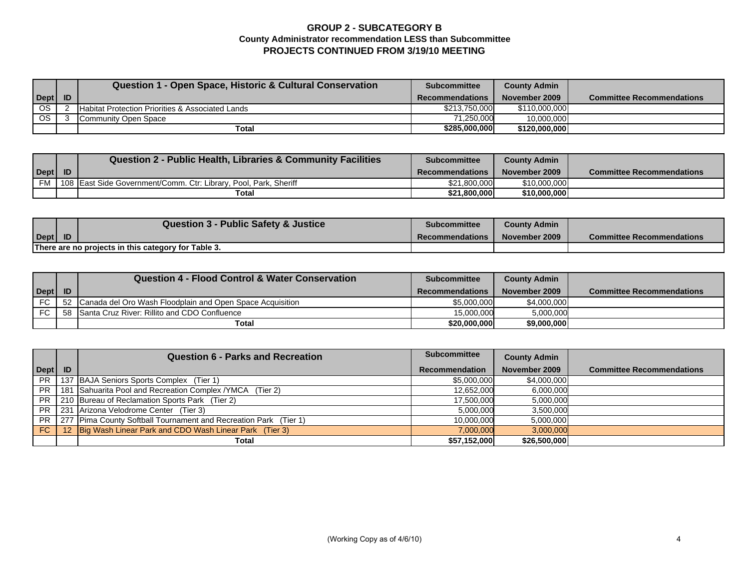## **GROUP 2 - SUBCATEGORY B County Administrator recommendation LESS than Subcommittee PROJECTS CONTINUED FROM 3/19/10 MEETING**

|      | Question 1 - Open Space, Historic & Cultural Conservation   | <b>Subcommittee</b>    | <b>County Admin</b> |                                  |
|------|-------------------------------------------------------------|------------------------|---------------------|----------------------------------|
| Dept |                                                             | <b>Recommendations</b> | November 2009       | <b>Committee Recommendations</b> |
| OS.  | <b>Habitat Protection Priorities &amp; Associated Lands</b> | \$213,750,000          | \$110,000,000       |                                  |
| OS.  | Community Open Space                                        | 71.250.000             | 10.000.000          |                                  |
|      | Total                                                       | \$285,000,000          | \$120,000,000       |                                  |

|      |           | <b>Question 2 - Public Health, Libraries &amp; Community Facilities</b> | <b>Subcommittee</b>    | <b>County Admin</b> |                                  |
|------|-----------|-------------------------------------------------------------------------|------------------------|---------------------|----------------------------------|
| Dept | <b>ID</b> |                                                                         | <b>Recommendations</b> | November 2009       | <b>Committee Recommendations</b> |
| FM   |           | 108 East Side Government/Comm. Ctr: Library, Pool, Park, Sheriff        | \$21,800,000           | \$10,000,000        |                                  |
|      |           | <b>Total</b>                                                            | \$21,800,000           | \$10,000,000        |                                  |

|                                                     |           | <b>Question 3 - Public Safety &amp; Justice</b> | <b>Subcommittee</b>    | <b>County Admin</b> |                                  |
|-----------------------------------------------------|-----------|-------------------------------------------------|------------------------|---------------------|----------------------------------|
| Dept                                                | <b>ID</b> |                                                 | <b>Recommendations</b> | November 2009       | <b>Committee Recommendations</b> |
| There are no projects in this category for Table 3. |           |                                                 |                        |                     |                                  |

|           |           | Question 4 - Flood Control & Water Conservation           | <b>Subcommittee</b>    | <b>County Admin</b> |                                  |
|-----------|-----------|-----------------------------------------------------------|------------------------|---------------------|----------------------------------|
| Dept      | <b>ID</b> |                                                           | <b>Recommendations</b> | November 2009       | <b>Committee Recommendations</b> |
| <b>FC</b> | -52       | Canada del Oro Wash Floodplain and Open Space Acquisition | \$5,000,000            | \$4,000,000         |                                  |
| <b>FC</b> | -58       | Santa Cruz River: Rillito and CDO Confluence              | 15.000.000             | 5,000,000           |                                  |
|           |           | Total                                                     | \$20,000,000           | \$9,000,000         |                                  |

|           | <b>Question 6 - Parks and Recreation</b>                         | <b>Subcommittee</b>   | <b>County Admin</b> |                                  |
|-----------|------------------------------------------------------------------|-----------------------|---------------------|----------------------------------|
| Dept   ID |                                                                  | <b>Recommendation</b> | November 2009       | <b>Committee Recommendations</b> |
| PR.       | 137 BAJA Seniors Sports Complex (Tier 1)                         | \$5,000,000           | \$4,000,000         |                                  |
| PR        | 181 Sahuarita Pool and Recreation Complex / YMCA (Tier 2)        | 12,652,000            | 6,000,000           |                                  |
|           | PR 210 Bureau of Reclamation Sports Park (Tier 2)                | 17,500,000            | 5,000,000           |                                  |
| <b>PR</b> | 231 Arizona Velodrome Center (Tier 3)                            | 5,000,000             | 3,500,000           |                                  |
| PR.       | 277 Pima County Softball Tournament and Recreation Park (Tier 1) | 10,000,000            | 5,000,000           |                                  |
| FC        | 12 Big Wash Linear Park and CDO Wash Linear Park (Tier 3)        | 7,000,000             | 3,000,000           |                                  |
|           | Total                                                            | \$57,152,000          | \$26,500,000        |                                  |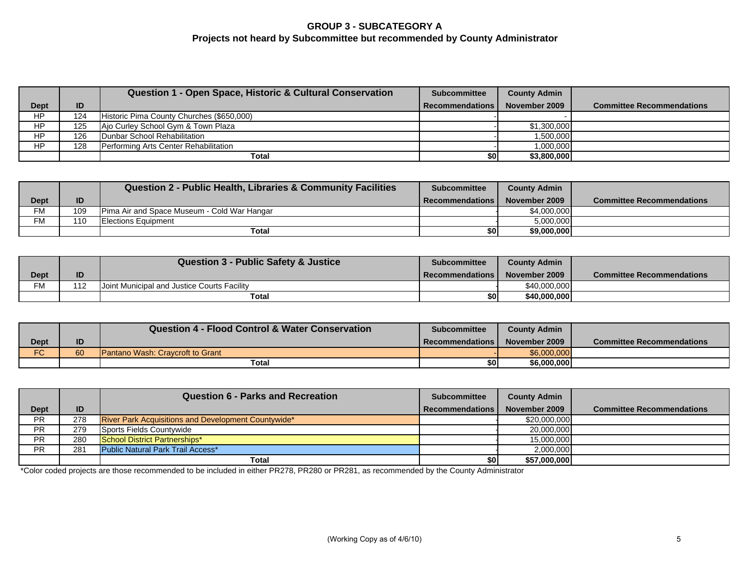# **GROUP 3 - SUBCATEGORY A Projects not heard by Subcommittee but recommended by County Administrator**

|             |     | Question 1 - Open Space, Historic & Cultural Conservation | <b>Subcommittee</b>    | <b>County Admin</b> |                                  |
|-------------|-----|-----------------------------------------------------------|------------------------|---------------------|----------------------------------|
| <b>Dept</b> | ID  |                                                           | <b>Recommendations</b> | November 2009       | <b>Committee Recommendations</b> |
| ΗP          | 124 | Historic Pima County Churches (\$650,000)                 |                        |                     |                                  |
| <b>HP</b>   | 125 | Ajo Curley School Gym & Town Plaza                        |                        | \$1,300,000         |                                  |
| HP          | 126 | Dunbar School Rehabilitation                              |                        | .500,000            |                                  |
| HP          | 128 | Performing Arts Center Rehabilitation                     |                        | 000,000,1           |                                  |
|             |     | Total                                                     | \$0                    | \$3,800,000         |                                  |

|           |     | <b>Question 2 - Public Health, Libraries &amp; Community Facilities</b> | <b>Subcommittee</b> | <b>County Admin</b> |                                  |
|-----------|-----|-------------------------------------------------------------------------|---------------------|---------------------|----------------------------------|
| Dept      | ID  |                                                                         | Recommendations     | November 2009       | <b>Committee Recommendations</b> |
| <b>FM</b> | 109 | Pima Air and Space Museum - Cold War Hangar                             |                     | \$4,000,000         |                                  |
| <b>FM</b> | 110 | <b>IElections Equipment</b>                                             |                     | 5,000,000           |                                  |
|           |     | Total                                                                   | \$0                 | \$9,000,000         |                                  |

|           |     | <b>Question 3 - Public Safety &amp; Justice</b>    | Subcommittee           | <b>County Admin</b> |                                  |
|-----------|-----|----------------------------------------------------|------------------------|---------------------|----------------------------------|
| Dept      | ID  |                                                    | <b>Recommendations</b> | November 2009       | <b>Committee Recommendations</b> |
| <b>FM</b> | 112 | <b>Joint Municipal and Justice Courts Facility</b> |                        | \$40,000,000        |                                  |
|           |     | Total                                              | \$0l                   | \$40,000,000        |                                  |

|               |    | Question 4 - Flood Control & Water Conservation | <b>Subcommittee</b> | <b>County Admin</b> |                                  |
|---------------|----|-------------------------------------------------|---------------------|---------------------|----------------------------------|
| Dept          | ID |                                                 | Recommendations     | November 2009       | <b>Committee Recommendations</b> |
| $\Gamma$<br>∾ | 60 | Pantano Wash: Cravcroft to Grant                |                     | \$6,000,000         |                                  |
|               |    | Total                                           | \$OI                | \$6,000,000         |                                  |

|             |     | <b>Question 6 - Parks and Recreation</b>                   | <b>Subcommittee</b>    | <b>County Admin</b> |                                  |
|-------------|-----|------------------------------------------------------------|------------------------|---------------------|----------------------------------|
| <b>Dept</b> | ID  |                                                            | <b>Recommendations</b> | November 2009       | <b>Committee Recommendations</b> |
| <b>PR</b>   | 278 | <b>River Park Acquisitions and Development Countywide*</b> |                        | \$20,000,000        |                                  |
| <b>PR</b>   | 279 | Sports Fields Countywide                                   |                        | 20,000,000          |                                  |
| <b>PR</b>   | 280 | School District Partnerships*                              |                        | 15,000,000          |                                  |
| <b>PR</b>   | 281 | Public Natural Park Trail Access*                          |                        | 2,000,000           |                                  |
|             |     | Total                                                      | \$O                    | \$57,000,000        |                                  |

\*Color coded projects are those recommended to be included in either PR278, PR280 or PR281, as recommended by the County Administrator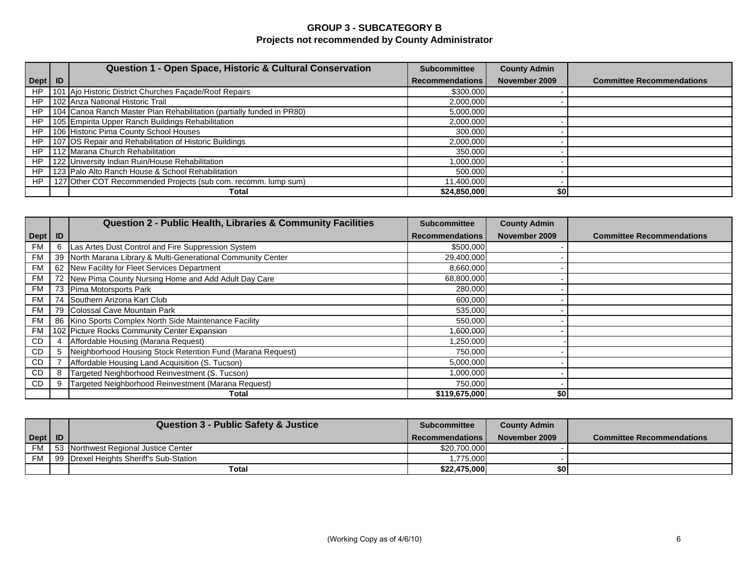# **GROUP 3 - SUBCATEGORY B Projects not recommended by County Administrator**

|            | Question 1 - Open Space, Historic & Cultural Conservation             | <b>Subcommittee</b>    | <b>County Admin</b> |                                  |
|------------|-----------------------------------------------------------------------|------------------------|---------------------|----------------------------------|
| $Depth$ ID |                                                                       | <b>Recommendations</b> | November 2009       | <b>Committee Recommendations</b> |
| <b>HP</b>  | 101 Ajo Historic District Churches Façade/Roof Repairs                | \$300,000              |                     |                                  |
| HP         | 102 Anza National Historic Trail                                      | 2,000,000              |                     |                                  |
| HP         | 104 Canoa Ranch Master Plan Rehabilitation (partially funded in PR80) | 5,000,000              |                     |                                  |
| <b>HP</b>  | 105 Empirita Upper Ranch Buildings Rehabilitation                     | 2,000,000              |                     |                                  |
| <b>HP</b>  | 106 Historic Pima County School Houses                                | 300,000                |                     |                                  |
| HP         | 107 OS Repair and Rehabilitation of Historic Buildings                | 2,000,000              |                     |                                  |
| HP         | 112 Marana Church Rehabilitation                                      | 350,000                |                     |                                  |
| <b>HP</b>  | 122 University Indian Ruin/House Rehabilitation                       | 1,000,000              |                     |                                  |
| HP         | 123 Palo Alto Ranch House & School Rehabilitation                     | 500,000                |                     |                                  |
| HP         | 127 Other COT Recommended Projects (sub com. recomm. lump sum)        | 11,400,000             |                     |                                  |
|            | Total                                                                 | \$24,850,000           | \$0                 |                                  |

|           |    | Question 2 - Public Health, Libraries & Community Facilities  | <b>Subcommittee</b>    | <b>County Admin</b> |                                  |
|-----------|----|---------------------------------------------------------------|------------------------|---------------------|----------------------------------|
| Dept      | ID |                                                               | <b>Recommendations</b> | November 2009       | <b>Committee Recommendations</b> |
| <b>FM</b> |    | Las Artes Dust Control and Fire Suppression System            | \$500,000              |                     |                                  |
| <b>FM</b> |    | 39 North Marana Library & Multi-Generational Community Center | 29,400,000             |                     |                                  |
| <b>FM</b> |    | 62 New Facility for Fleet Services Department                 | 8,660,000              |                     |                                  |
| FM        |    | 72 New Pima County Nursing Home and Add Adult Day Care        | 68,800,000             |                     |                                  |
| <b>FM</b> |    | 73 Pima Motorsports Park                                      | 280,000                |                     |                                  |
| <b>FM</b> |    | 74 Southern Arizona Kart Club                                 | 600,000                |                     |                                  |
| <b>FM</b> |    | 79 Colossal Cave Mountain Park                                | 535,000                |                     |                                  |
| <b>FM</b> |    | 86 Kino Sports Complex North Side Maintenance Facility        | 550,000                |                     |                                  |
| FM        |    | 102 Picture Rocks Community Center Expansion                  | 1,600,000              |                     |                                  |
| <b>CD</b> |    | Affordable Housing (Marana Request)                           | 1,250,000              |                     |                                  |
| CD        |    | Neighborhood Housing Stock Retention Fund (Marana Request)    | 750,000                |                     |                                  |
| <b>CD</b> |    | Affordable Housing Land Acquisition (S. Tucson)               | 5,000,000              |                     |                                  |
| CD        |    | Targeted Neighborhood Reinvestment (S. Tucson)                | 1,000,000              |                     |                                  |
| CD        |    | Targeted Neighborhood Reinvestment (Marana Request)           | 750,000                |                     |                                  |
|           |    | Total                                                         | \$119,675,000          | \$0                 |                                  |

|           | <b>Question 3 - Public Safety &amp; Justice</b> | Subcommittee           | <b>County Admin</b> |                                  |
|-----------|-------------------------------------------------|------------------------|---------------------|----------------------------------|
| Dept   ID |                                                 | <b>Recommendations</b> | November 2009       | <b>Committee Recommendations</b> |
| FM.       | <b>153 Northwest Regional Justice Center</b>    | \$20,700,000           |                     |                                  |
| <b>FM</b> | 199 Drexel Heights Sheriff's Sub-Station        | 1,775,000              |                     |                                  |
|           | Total                                           | \$22,475,000           |                     |                                  |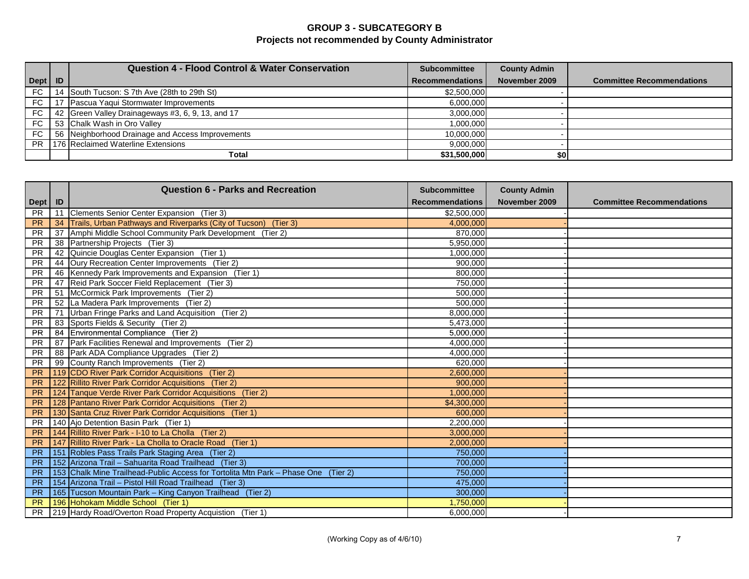# **GROUP 3 - SUBCATEGORY B Projects not recommended by County Administrator**

|           | <b>Question 4 - Flood Control &amp; Water Conservation</b> | <b>Subcommittee</b>    | <b>County Admin</b> |                                  |
|-----------|------------------------------------------------------------|------------------------|---------------------|----------------------------------|
| Dept   ID |                                                            | <b>Recommendations</b> | November 2009       | <b>Committee Recommendations</b> |
| FC.       | 14 South Tucson: S 7th Ave (28th to 29th St)               | \$2,500,000            |                     |                                  |
| FC.       | Pascua Yaqui Stormwater Improvements                       | 6,000,000              |                     |                                  |
| FC.       | 42 Green Valley Drainageways #3, 6, 9, 13, and 17          | 3,000,000              |                     |                                  |
| FC.       | 53 Chalk Wash in Oro Valley                                | 1.000.000              |                     |                                  |
| FC.       | 56 Neighborhood Drainage and Access Improvements           | 10,000,000             |                     |                                  |
| PR.       | 176 Reclaimed Waterline Extensions                         | 9,000,000              |                     |                                  |
|           | <b>Total</b>                                               | \$31,500,000           |                     |                                  |

|           |    | <b>Question 6 - Parks and Recreation</b>                                           | <b>Subcommittee</b>    | <b>County Admin</b> |                                  |
|-----------|----|------------------------------------------------------------------------------------|------------------------|---------------------|----------------------------------|
| Dept   ID |    |                                                                                    | <b>Recommendations</b> | November 2009       | <b>Committee Recommendations</b> |
| <b>PR</b> | 11 | Clements Senior Center Expansion (Tier 3)                                          | \$2,500,000            |                     |                                  |
| <b>PR</b> | 34 | Trails, Urban Pathways and Riverparks (City of Tucson) (Tier 3)                    | 4,000,000              |                     |                                  |
| <b>PR</b> | 37 | Amphi Middle School Community Park Development (Tier 2)                            | 870,000                |                     |                                  |
| <b>PR</b> | 38 | Partnership Projects (Tier 3)                                                      | 5.950.000              |                     |                                  |
| <b>PR</b> | 42 | Quincie Douglas Center Expansion (Tier 1)                                          | 1,000,000              |                     |                                  |
| <b>PR</b> | 44 | Oury Recreation Center Improvements (Tier 2)                                       | 900,000                |                     |                                  |
| <b>PR</b> | 46 | Kennedy Park Improvements and Expansion (Tier 1)                                   | 800,000                |                     |                                  |
| <b>PR</b> | 47 | Reid Park Soccer Field Replacement (Tier 3)                                        | 750,000                |                     |                                  |
| <b>PR</b> | 51 | McCormick Park Improvements (Tier 2)                                               | 500,000                |                     |                                  |
| <b>PR</b> |    | 52 La Madera Park Improvements (Tier 2)                                            | 500,000                |                     |                                  |
| <b>PR</b> | 71 | Urban Fringe Parks and Land Acquisition (Tier 2)                                   | 8,000,000              |                     |                                  |
| <b>PR</b> | 83 | Sports Fields & Security (Tier 2)                                                  | 5,473,000              |                     |                                  |
| <b>PR</b> | 84 | Environmental Compliance (Tier 2)                                                  | 5,000,000              |                     |                                  |
| <b>PR</b> | 87 | Park Facilities Renewal and Improvements (Tier 2)                                  | 4,000,000              |                     |                                  |
| <b>PR</b> | 88 | Park ADA Compliance Upgrades (Tier 2)                                              | 4,000,000              |                     |                                  |
| <b>PR</b> | 99 | County Ranch Improvements (Tier 2)                                                 | 620,000                |                     |                                  |
| <b>PR</b> |    | 119 CDO River Park Corridor Acquisitions (Tier 2)                                  | 2,600,000              |                     |                                  |
| <b>PR</b> |    | 122 Rillito River Park Corridor Acquisitions (Tier 2)                              | 900,000                |                     |                                  |
| <b>PR</b> |    | 124 Tanque Verde River Park Corridor Acquisitions (Tier 2)                         | 1,000,000              |                     |                                  |
| <b>PR</b> |    | 128 Pantano River Park Corridor Acquisitions (Tier 2)                              | \$4,300,000            |                     |                                  |
| <b>PR</b> |    | 130 Santa Cruz River Park Corridor Acquisitions (Tier 1)                           | 600,000                |                     |                                  |
| <b>PR</b> |    | 140 Ajo Detention Basin Park (Tier 1)                                              | 2,200,000              |                     |                                  |
| <b>PR</b> |    | 144 Rillito River Park - I-10 to La Cholla (Tier 2)                                | 3,000,000              |                     |                                  |
| <b>PR</b> |    | 147 Rillito River Park - La Cholla to Oracle Road (Tier 1)                         | 2,000,000              |                     |                                  |
| <b>PR</b> |    | 151 Robles Pass Trails Park Staging Area (Tier 2)                                  | 750,000                |                     |                                  |
| <b>PR</b> |    | 152 Arizona Trail - Sahuarita Road Trailhead (Tier 3)                              | 700,000                |                     |                                  |
| <b>PR</b> |    | 153 Chalk Mine Trailhead-Public Access for Tortolita Mtn Park - Phase One (Tier 2) | 750,000                |                     |                                  |
| <b>PR</b> |    | 154 Arizona Trail - Pistol Hill Road Trailhead (Tier 3)                            | 475,000                |                     |                                  |
| <b>PR</b> |    | 165 Tucson Mountain Park - King Canyon Trailhead (Tier 2)                          | 300,000                |                     |                                  |
| <b>PR</b> |    | 196 Hohokam Middle School (Tier 1)                                                 | 1,750,000              |                     |                                  |
| <b>PR</b> |    | 219 Hardy Road/Overton Road Property Acquistion (Tier 1)                           | 6,000,000              |                     |                                  |